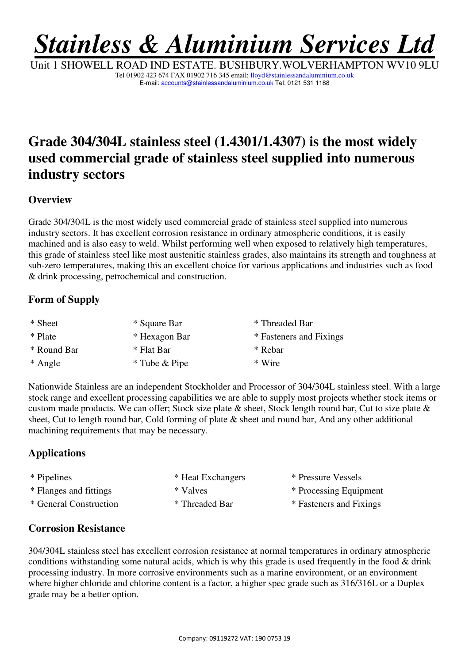# *Stainless & Aluminium Services Ltd*

Unit 1 SHOWELL ROAD IND ESTATE. BUSHBURY.WOLVERHAMPTON WV10 9LU Tel 01902 423 674 FAX 01902 716 345 email: lloyd@stainlessandaluminium.co.uk E-mail: accounts@stainlessandaluminium.co.uk Tel: 0121 531 1188

# **Grade 304/304L stainless steel (1.4301/1.4307) is the most widely used commercial grade of stainless steel supplied into numerous industry sectors**

## **Overview**

Grade 304/304L is the most widely used commercial grade of stainless steel supplied into numerous industry sectors. It has excellent corrosion resistance in ordinary atmospheric conditions, it is easily machined and is also easy to weld. Whilst performing well when exposed to relatively high temperatures, this grade of stainless steel like most austenitic stainless grades, also maintains its strength and toughness at sub-zero temperatures, making this an excellent choice for various applications and industries such as food & drink processing, petrochemical and construction.

## **Form of Supply**

| * Sheet     | * Square Bar  | * Threaded Bar          |
|-------------|---------------|-------------------------|
| * Plate     | * Hexagon Bar | * Fasteners and Fixings |
| * Round Bar | * Flat Bar    | * Rebar                 |
| * Angle     | * Tube & Pipe | * Wire                  |

Nationwide Stainless are an independent Stockholder and Processor of 304/304L stainless steel. With a large stock range and excellent processing capabilities we are able to supply most projects whether stock items or custom made products. We can offer; Stock size plate & sheet, Stock length round bar, Cut to size plate & sheet, Cut to length round bar, Cold forming of plate & sheet and round bar, And any other additional machining requirements that may be necessary.

# **Applications**

| * Pipelines            | * Heat Exchangers | * Pressure Vessels      |
|------------------------|-------------------|-------------------------|
| * Flanges and fittings | * Valves          | * Processing Equipment  |
| * General Construction | * Threaded Bar    | * Fasteners and Fixings |

#### **Corrosion Resistance**

304/304L stainless steel has excellent corrosion resistance at normal temperatures in ordinary atmospheric conditions withstanding some natural acids, which is why this grade is used frequently in the food & drink processing industry. In more corrosive environments such as a marine environment, or an environment where higher chloride and chlorine content is a factor, a higher spec grade such as 316/316L or a Duplex grade may be a better option.